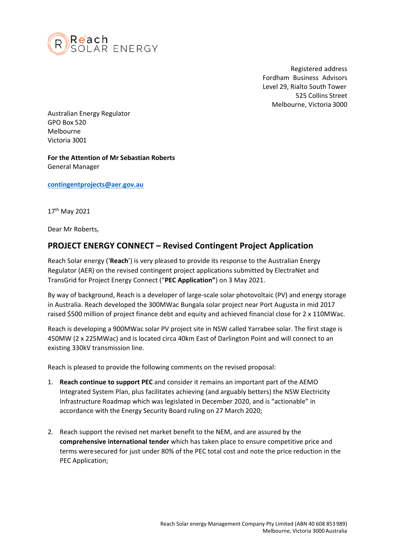

Registered address Fordham Business Advisors Level 29, Rialto South Tower 525 Collins Street Melbourne, Victoria 3000

Australian Energy Regulator GPO Box 520 Melbourne Victoria 3001

## **For the Attention of Mr Sebastian Roberts** General Manager

**[contingentprojects@aer.gov.au](mailto:contingentprojects@aer.gov.au)**

17th May 2021

Dear Mr Roberts,

## **PROJECT ENERGY CONNECT – Revised Contingent Project Application**

Reach Solar energy ('**Reach**') is very pleased to provide its response to the Australian Energy Regulator (AER) on the revised contingent project applications submitted by ElectraNet and TransGrid for Project Energy Connect ("**PEC Application"**) on 3 May 2021.

By way of background, Reach is a developer of large-scale solar photovoltaic (PV) and energy storage in Australia. Reach developed the 300MWac Bungala solar project near Port Augusta in mid 2017 raised \$500 million of project finance debt and equity and achieved financial close for 2 x 110MWac.

Reach is developing a 900MWac solar PV project site in NSW called Yarrabee solar. The first stage is 450MW (2 x 225MWac) and is located circa 40km East of Darlington Point and will connect to an existing 330kV transmission line.

Reach is pleased to provide the following comments on the revised proposal:

- 1. **Reach continue to support PEC** and consider it remains an important part of the AEMO Integrated System Plan, plus facilitates achieving (and arguably betters) the NSW Electricity Infrastructure Roadmap which was legislated in December 2020, and is "actionable" in accordance with the Energy Security Board ruling on 27 March 2020;
- 2. Reach support the revised net market benefit to the NEM, and are assured by the **comprehensive international tender** which has taken place to ensure competitive price and terms weresecured for just under 80% of the PEC total cost and note the price reduction in the PEC Application;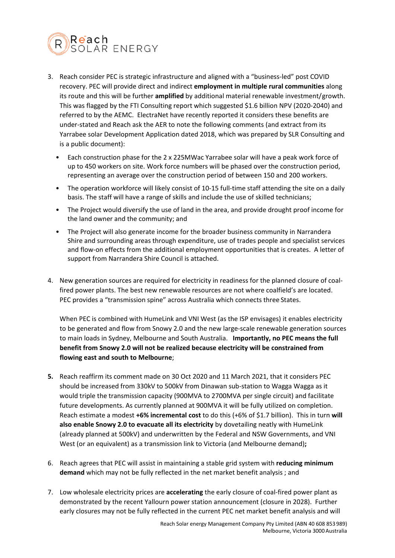

- 3. Reach consider PEC is strategic infrastructure and aligned with a "business-led" post COVID recovery. PEC will provide direct and indirect **employment in multiple rural communities** along its route and this will be further **amplified** by additional material renewable investment/growth. This was flagged by the FTI Consulting report which suggested \$1.6 billion NPV (2020-2040) and referred to by the AEMC. ElectraNet have recently reported it considers these benefits are under-stated and Reach ask the AER to note the following comments (and extract from its Yarrabee solar Development Application dated 2018, which was prepared by SLR Consulting and is a public document):
	- Each construction phase for the 2 x 225MWac Yarrabee solar will have a peak work force of up to 450 workers on site. Work force numbers will be phased over the construction period, representing an average over the construction period of between 150 and 200 workers.
	- The operation workforce will likely consist of 10-15 full-time staff attending the site on a daily basis. The staff will have a range of skills and include the use of skilled technicians;
	- The Project would diversify the use of land in the area, and provide drought proof income for the land owner and the community; and
	- The Project will also generate income for the broader business community in Narrandera Shire and surrounding areas through expenditure, use of trades people and specialist services and flow-on effects from the additional employment opportunities that is creates. A letter of support from Narrandera Shire Council is attached.
- 4. New generation sources are required for electricity in readiness for the planned closure of coalfired power plants. The best new renewable resources are not where coalfield's are located. PEC provides a "transmission spine" across Australia which connects three States.

When PEC is combined with HumeLink and VNI West (as the ISP envisages) it enables electricity to be generated and flow from Snowy 2.0 and the new large-scale renewable generation sources to main loads in Sydney, Melbourne and South Australia. **Importantly, no PEC means the full benefit from Snowy 2.0 will not be realized because electricity will be constrained from flowing east and south to Melbourne**;

- **5.** Reach reaffirm its comment made on 30 Oct 2020 and 11 March 2021, that it considers PEC should be increased from 330kV to 500kV from Dinawan sub-station to Wagga Wagga as it would triple the transmission capacity (900MVA to 2700MVA per single circuit) and facilitate future developments. As currently planned at 900MVA it will be fully utilized on completion. Reach estimate a modest **+6% incremental cost** to do this (+6% of \$1.7 billion). This in turn **will also enable Snowy 2.0 to evacuate all its electricity** by dovetailing neatly with HumeLink (already planned at 500kV) and underwritten by the Federal and NSW Governments, and VNI West (or an equivalent) as a transmission link to Victoria (and Melbourne demand)**;**
- 6. Reach agrees that PEC will assist in maintaining a stable grid system with **reducing minimum demand** which may not be fully reflected in the net market benefit analysis ; and
- 7. Low wholesale electricity prices are **accelerating** the early closure of coal-fired power plant as demonstrated by the recent Yallourn power station announcement (closure in 2028). Further early closures may not be fully reflected in the current PEC net market benefit analysis and will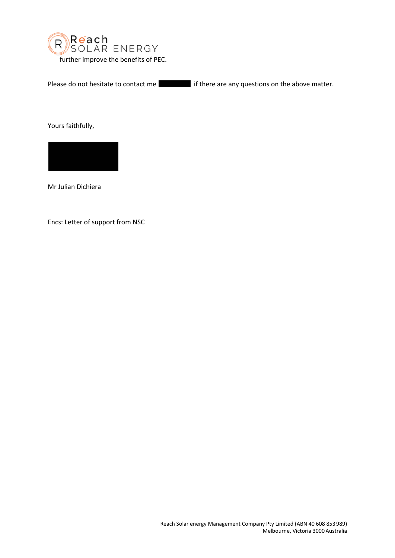

Please do not hesitate to contact me **interest and if there are any questions on the above matter.** 

Yours faithfully,



Mr Julian Dichiera

Encs: Letter of support from NSC